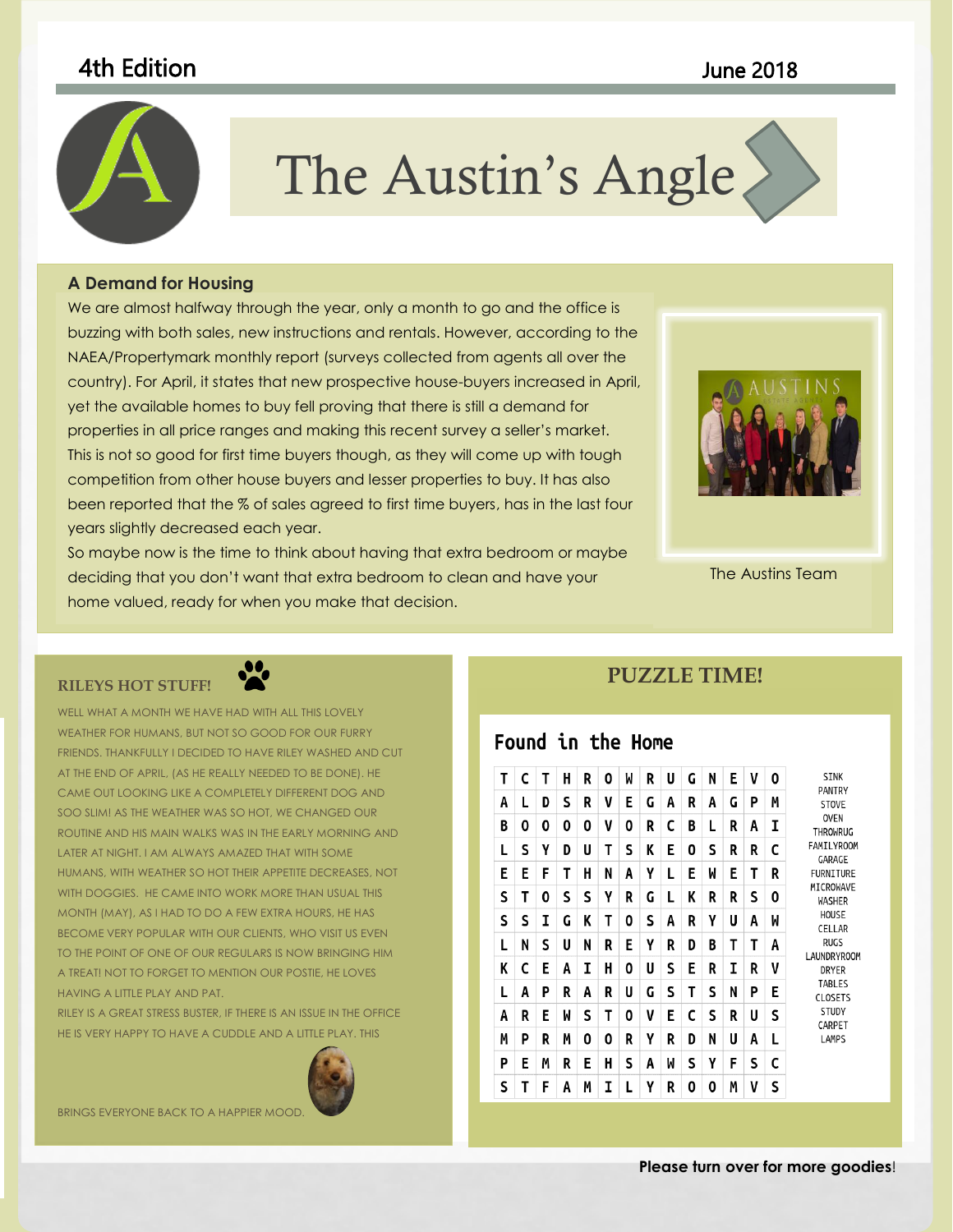## 4th Edition June 2018



# The Austin's Angle

to coordinate with the overall look of your document. You can use

### **A Demand for Housing**

 This is not so good for first time buyers though, as they will come up with tough buzzing with both sales, new instructions and rentals. However, according to the NAEA/Propertymark monthly report (surveys collected from agents all over the country). For April, it states that new prospective house-buyers increased in April, **The Constantine in April** yet the available homes to buy fell proving that there is still a demand for **the contrary to the struck** properties in all price ranges and making this recent survey a seller's market. We are almost halfway through the year, only a month to go and the office is competition from other house buyers and lesser properties to buy. It has also been reported that the % of sales agreed to first time buyers, has in the last four years slightly decreased each year.

So maybe now is the time to think about having that extra bedroom or maybe deciding that you don't want that extra bedroom to clean and have your home valued, ready for when you make that decision.



The Austins Team

### **RILEYS HOT STUFF!**



WELL WHAT A MONTH WE HAVE HAD WITH ALL THIS LOVELY WEATHER FOR HUMANS, BUT NOT SO GOOD FOR OUR FURRY FRIENDS. THANKFULLY I DECIDED TO HAVE RILEY WASHED AND CUT AT THE END OF APRIL, (AS HE REALLY NEEDED TO BE DONE). HE CAME OUT LOOKING LIKE A COMPLETELY DIFFERENT DOG AND SOO SLIM! AS THE WEATHER WAS SO HOT, WE CHANGED OUR ROUTINE AND HIS MAIN WALKS WAS IN THE EARLY MORNING AND LATER AT NIGHT. I AM ALWAYS AMAZED THAT WITH SOME HUMANS, WITH WEATHER SO HOT THEIR APPETITE DECREASES, NOT WITH DOGGIES. HE CAME INTO WORK MORE THAN USUAL THIS MONTH (MAY), AS I HAD TO DO A FEW EXTRA HOURS, HE HAS BECOME VERY POPULAR WITH OUR CLIENTS, WHO VISIT US EVEN TO THE POINT OF ONE OF OUR REGULARS IS NOW BRINGING HIM A TREAT! NOT TO FORGET TO MENTION OUR POSTIE, HE LOVES HAVING A LITTLE PLAY AND PAT.

RILEY IS A GREAT STRESS BUSTER, IF THERE IS AN ISSUE IN THE OFFICE HE IS VERY HAPPY TO HAVE A CUDDLE AND A LITTLE PLAY. THIS



BRINGS EVERYONE BACK TO A HAPPIER MOOD.

## **PUZZLE TIME!**

## Found in the Home

| Т | C | т | н | R | 0 | M | R | U | G | N | E | V | 0 | <b>SINK</b><br>PANTRY<br><b>STOVE</b><br><b>OVEN</b><br>THROWRUG<br>FAMILYROOM<br>GARAGE<br><b>FURNITURE</b><br>MICROWAVE<br>WASHER<br>HOUSE<br>CELLAR<br><b>RUGS</b><br><b>LAUNDRYROOM</b><br><b>DRYER</b><br>TABLES<br><b>CLOSETS</b><br><b>STUDY</b><br>CARPET<br>LAMPS |
|---|---|---|---|---|---|---|---|---|---|---|---|---|---|----------------------------------------------------------------------------------------------------------------------------------------------------------------------------------------------------------------------------------------------------------------------------|
| A | L | D | S | R | V | E | G | A | R | A | G | P | M |                                                                                                                                                                                                                                                                            |
| B | 0 | 0 | 0 | 0 | V | 0 | R | C | В | L | R | A | I |                                                                                                                                                                                                                                                                            |
| L | s | γ | D | U | т | S | K | E | 0 | S | R | R | c |                                                                                                                                                                                                                                                                            |
| E | Е | F | Т | H | N | A | γ | L | E | W | E | T | R |                                                                                                                                                                                                                                                                            |
| S | Т | 0 | s | S | γ | R | G | L | K | R | R | S | 0 |                                                                                                                                                                                                                                                                            |
| S | S | I | G | K | T | 0 | S | Α | R | γ | U | A | M |                                                                                                                                                                                                                                                                            |
| L | N | S | U | N | R | Е | γ | R | D | B | T | Τ | A |                                                                                                                                                                                                                                                                            |
| K | C | E | A | I | н | 0 | U | S | E | R | I | R | V |                                                                                                                                                                                                                                                                            |
| L | A | P | R | A | R | U | G | S | Т | S | N | P | E |                                                                                                                                                                                                                                                                            |
| A | R | Е | M | S | Т | 0 | V | Е | C | S | R | U | S |                                                                                                                                                                                                                                                                            |
| М | Ρ | R | М | 0 | 0 | R | γ | R | D | N | U | A | L |                                                                                                                                                                                                                                                                            |
| P | Е | М | R | E | н | S | A | W | S | γ | F | S | c |                                                                                                                                                                                                                                                                            |
| S | Т | F | A | М | I | L | γ | R | 0 | 0 | М | v | S |                                                                                                                                                                                                                                                                            |